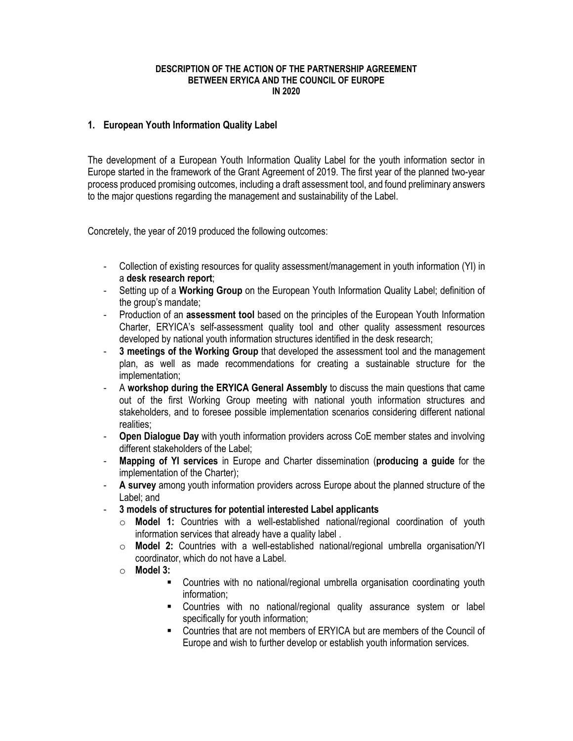#### **DESCRIPTION OF THE ACTION OF THE PARTNERSHIP AGREEMENT BETWEEN ERYICA AND THE COUNCIL OF EUROPE IN 2020**

#### **1. European Youth Information Quality Label**

The development of a European Youth Information Quality Label for the youth information sector in Europe started in the framework of the Grant Agreement of 2019. The first year of the planned two-year process produced promising outcomes, including a draft assessment tool, and found preliminary answers to the major questions regarding the management and sustainability of the Label.

Concretely, the year of 2019 produced the following outcomes:

- Collection of existing resources for quality assessment/management in youth information (YI) in a **desk research report**;
- Setting up of a **Working Group** on the European Youth Information Quality Label; definition of the group's mandate;
- Production of an **assessment tool** based on the principles of the European Youth Information Charter, ERYICA's self-assessment quality tool and other quality assessment resources developed by national youth information structures identified in the desk research;
- **3 meetings of the Working Group** that developed the assessment tool and the management plan, as well as made recommendations for creating a sustainable structure for the implementation;
- A **workshop during the ERYICA General Assembly** to discuss the main questions that came out of the first Working Group meeting with national youth information structures and stakeholders, and to foresee possible implementation scenarios considering different national realities;
- **Open Dialogue Day** with youth information providers across CoE member states and involving different stakeholders of the Label;
- **Mapping of YI services** in Europe and Charter dissemination (**producing a guide** for the implementation of the Charter);
- **A survey** among youth information providers across Europe about the planned structure of the Label; and
- **3 models of structures for potential interested Label applicants** 
	- o **Model 1:** Countries with a well-established national/regional coordination of youth information services that already have a quality label .
	- o **Model 2:** Countries with a well-established national/regional umbrella organisation/YI coordinator, which do not have a Label.
	- o **Model 3:**
		- Countries with no national/regional umbrella organisation coordinating youth information;
		- Countries with no national/regional quality assurance system or label specifically for youth information;
		- Countries that are not members of ERYICA but are members of the Council of Europe and wish to further develop or establish youth information services.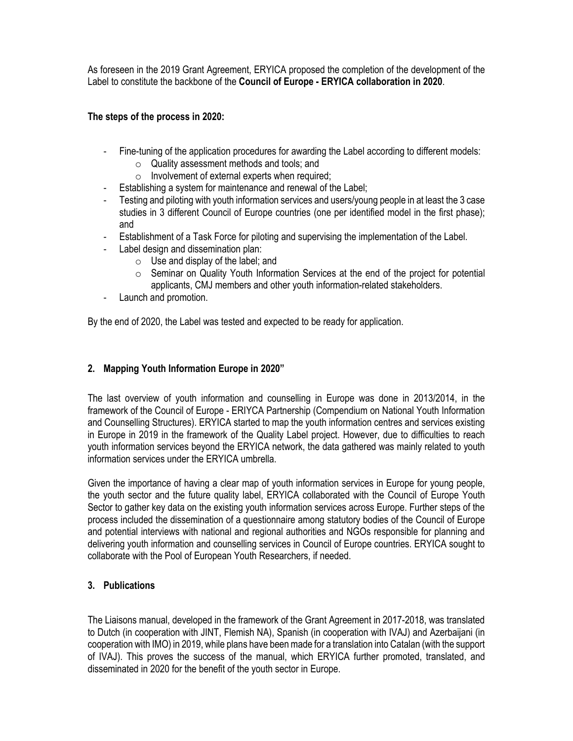As foreseen in the 2019 Grant Agreement, ERYICA proposed the completion of the development of the Label to constitute the backbone of the **Council of Europe - ERYICA collaboration in 2020**.

## **The steps of the process in 2020:**

- Fine-tuning of the application procedures for awarding the Label according to different models:
	- o Quality assessment methods and tools; and
	- o Involvement of external experts when required;
- Establishing a system for maintenance and renewal of the Label;
- Testing and piloting with youth information services and users/young people in at least the 3 case studies in 3 different Council of Europe countries (one per identified model in the first phase); and
- Establishment of a Task Force for piloting and supervising the implementation of the Label.
- Label design and dissemination plan:
	- $\circ$  Use and display of the label; and
		- o Seminar on Quality Youth Information Services at the end of the project for potential applicants, CMJ members and other youth information-related stakeholders.
- Launch and promotion.

By the end of 2020, the Label was tested and expected to be ready for application.

### **2. Mapping Youth Information Europe in 2020"**

The last overview of youth information and counselling in Europe was done in 2013/2014, in the framework of the Council of Europe - ERIYCA Partnership (Compendium on National Youth Information and Counselling Structures). ERYICA started to map the youth information centres and services existing in Europe in 2019 in the framework of the Quality Label project. However, due to difficulties to reach youth information services beyond the ERYICA network, the data gathered was mainly related to youth information services under the ERYICA umbrella.

Given the importance of having a clear map of youth information services in Europe for young people, the youth sector and the future quality label, ERYICA collaborated with the Council of Europe Youth Sector to gather key data on the existing youth information services across Europe. Further steps of the process included the dissemination of a questionnaire among statutory bodies of the Council of Europe and potential interviews with national and regional authorities and NGOs responsible for planning and delivering youth information and counselling services in Council of Europe countries. ERYICA sought to collaborate with the Pool of European Youth Researchers, if needed.

# **3. Publications**

The Liaisons manual, developed in the framework of the Grant Agreement in 2017-2018, was translated to Dutch (in cooperation with JINT, Flemish NA), Spanish (in cooperation with IVAJ) and Azerbaijani (in cooperation with IMO) in 2019, while plans have been made for a translation into Catalan (with the support of IVAJ). This proves the success of the manual, which ERYICA further promoted, translated, and disseminated in 2020 for the benefit of the youth sector in Europe.